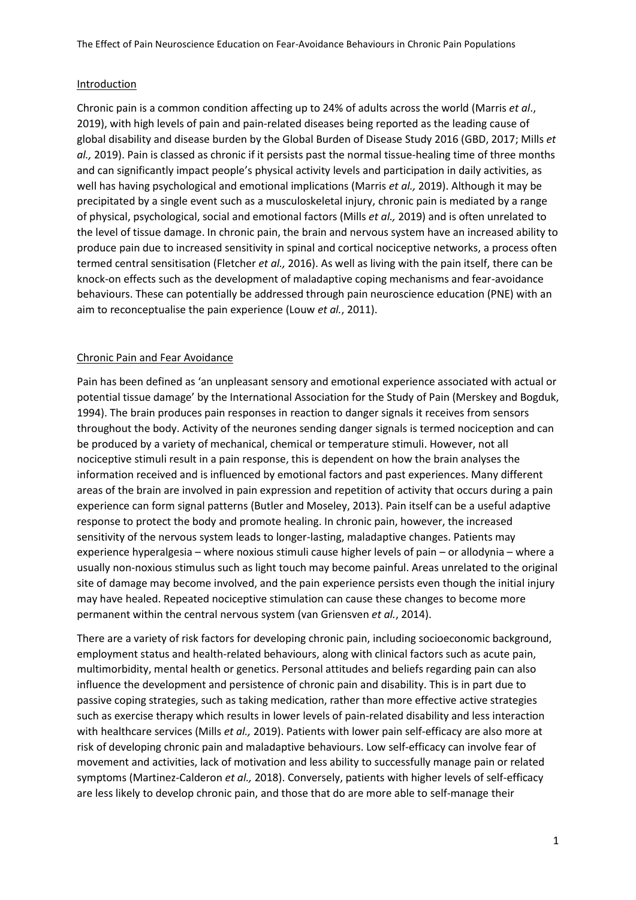## Introduction

Chronic pain is a common condition affecting up to 24% of adults across the world (Marris *et al*., 2019), with high levels of pain and pain-related diseases being reported as the leading cause of global disability and disease burden by the Global Burden of Disease Study 2016 (GBD, 2017; Mills *et al.,* 2019). Pain is classed as chronic if it persists past the normal tissue-healing time of three months and can significantly impact people's physical activity levels and participation in daily activities, as well has having psychological and emotional implications (Marris *et al.,* 2019). Although it may be precipitated by a single event such as a musculoskeletal injury, chronic pain is mediated by a range of physical, psychological, social and emotional factors (Mills *et al.,* 2019) and is often unrelated to the level of tissue damage. In chronic pain, the brain and nervous system have an increased ability to produce pain due to increased sensitivity in spinal and cortical nociceptive networks, a process often termed central sensitisation (Fletcher *et al.,* 2016). As well as living with the pain itself, there can be knock-on effects such as the development of maladaptive coping mechanisms and fear-avoidance behaviours. These can potentially be addressed through pain neuroscience education (PNE) with an aim to reconceptualise the pain experience (Louw *et al.*, 2011).

# Chronic Pain and Fear Avoidance

Pain has been defined as 'an unpleasant sensory and emotional experience associated with actual or potential tissue damage' by the International Association for the Study of Pain (Merskey and Bogduk, 1994). The brain produces pain responses in reaction to danger signals it receives from sensors throughout the body. Activity of the neurones sending danger signals is termed nociception and can be produced by a variety of mechanical, chemical or temperature stimuli. However, not all nociceptive stimuli result in a pain response, this is dependent on how the brain analyses the information received and is influenced by emotional factors and past experiences. Many different areas of the brain are involved in pain expression and repetition of activity that occurs during a pain experience can form signal patterns (Butler and Moseley, 2013). Pain itself can be a useful adaptive response to protect the body and promote healing. In chronic pain, however, the increased sensitivity of the nervous system leads to longer-lasting, maladaptive changes. Patients may experience hyperalgesia – where noxious stimuli cause higher levels of pain – or allodynia – where a usually non-noxious stimulus such as light touch may become painful. Areas unrelated to the original site of damage may become involved, and the pain experience persists even though the initial injury may have healed. Repeated nociceptive stimulation can cause these changes to become more permanent within the central nervous system (van Griensven *et al.*, 2014).

There are a variety of risk factors for developing chronic pain, including socioeconomic background, employment status and health-related behaviours, along with clinical factors such as acute pain, multimorbidity, mental health or genetics. Personal attitudes and beliefs regarding pain can also influence the development and persistence of chronic pain and disability. This is in part due to passive coping strategies, such as taking medication, rather than more effective active strategies such as exercise therapy which results in lower levels of pain-related disability and less interaction with healthcare services (Mills *et al.,* 2019). Patients with lower pain self-efficacy are also more at risk of developing chronic pain and maladaptive behaviours. Low self-efficacy can involve fear of movement and activities, lack of motivation and less ability to successfully manage pain or related symptoms (Martinez-Calderon *et al.,* 2018). Conversely, patients with higher levels of self-efficacy are less likely to develop chronic pain, and those that do are more able to self-manage their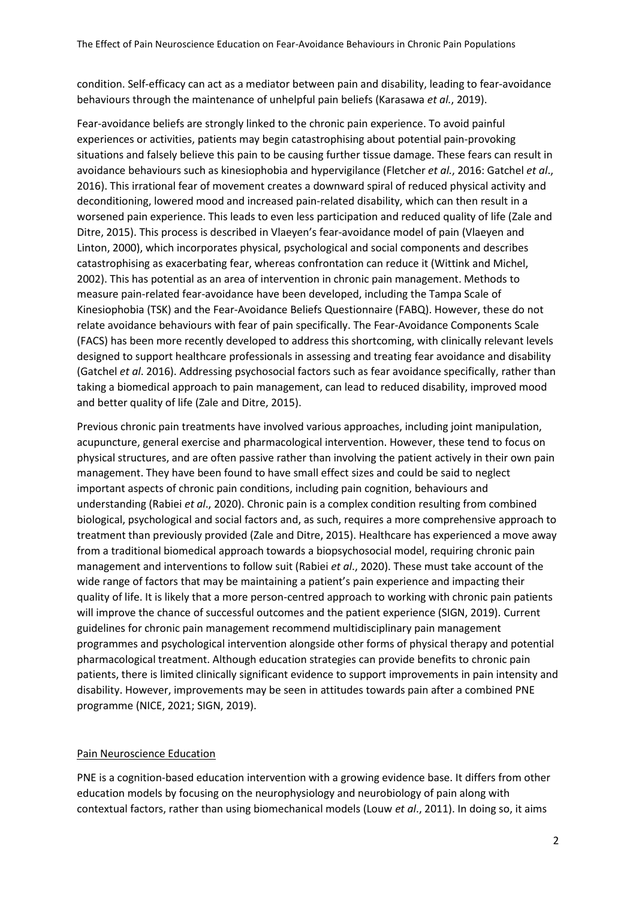condition. Self-efficacy can act as a mediator between pain and disability, leading to fear-avoidance behaviours through the maintenance of unhelpful pain beliefs (Karasawa *et al.*, 2019).

Fear-avoidance beliefs are strongly linked to the chronic pain experience. To avoid painful experiences or activities, patients may begin catastrophising about potential pain-provoking situations and falsely believe this pain to be causing further tissue damage. These fears can result in avoidance behaviours such as kinesiophobia and hypervigilance (Fletcher *et al.*, 2016: Gatchel *et al*., 2016). This irrational fear of movement creates a downward spiral of reduced physical activity and deconditioning, lowered mood and increased pain-related disability, which can then result in a worsened pain experience. This leads to even less participation and reduced quality of life (Zale and Ditre, 2015). This process is described in Vlaeyen's fear-avoidance model of pain (Vlaeyen and Linton, 2000), which incorporates physical, psychological and social components and describes catastrophising as exacerbating fear, whereas confrontation can reduce it (Wittink and Michel, 2002). This has potential as an area of intervention in chronic pain management. Methods to measure pain-related fear-avoidance have been developed, including the Tampa Scale of Kinesiophobia (TSK) and the Fear-Avoidance Beliefs Questionnaire (FABQ). However, these do not relate avoidance behaviours with fear of pain specifically. The Fear-Avoidance Components Scale (FACS) has been more recently developed to address this shortcoming, with clinically relevant levels designed to support healthcare professionals in assessing and treating fear avoidance and disability (Gatchel *et al*. 2016). Addressing psychosocial factors such as fear avoidance specifically, rather than taking a biomedical approach to pain management, can lead to reduced disability, improved mood and better quality of life (Zale and Ditre, 2015).

Previous chronic pain treatments have involved various approaches, including joint manipulation, acupuncture, general exercise and pharmacological intervention. However, these tend to focus on physical structures, and are often passive rather than involving the patient actively in their own pain management. They have been found to have small effect sizes and could be said to neglect important aspects of chronic pain conditions, including pain cognition, behaviours and understanding (Rabiei *et al*., 2020). Chronic pain is a complex condition resulting from combined biological, psychological and social factors and, as such, requires a more comprehensive approach to treatment than previously provided (Zale and Ditre, 2015). Healthcare has experienced a move away from a traditional biomedical approach towards a biopsychosocial model, requiring chronic pain management and interventions to follow suit (Rabiei *et al*., 2020). These must take account of the wide range of factors that may be maintaining a patient's pain experience and impacting their quality of life. It is likely that a more person-centred approach to working with chronic pain patients will improve the chance of successful outcomes and the patient experience (SIGN, 2019). Current guidelines for chronic pain management recommend multidisciplinary pain management programmes and psychological intervention alongside other forms of physical therapy and potential pharmacological treatment. Although education strategies can provide benefits to chronic pain patients, there is limited clinically significant evidence to support improvements in pain intensity and disability. However, improvements may be seen in attitudes towards pain after a combined PNE programme (NICE, 2021; SIGN, 2019).

# Pain Neuroscience Education

PNE is a cognition-based education intervention with a growing evidence base. It differs from other education models by focusing on the neurophysiology and neurobiology of pain along with contextual factors, rather than using biomechanical models (Louw *et al*., 2011). In doing so, it aims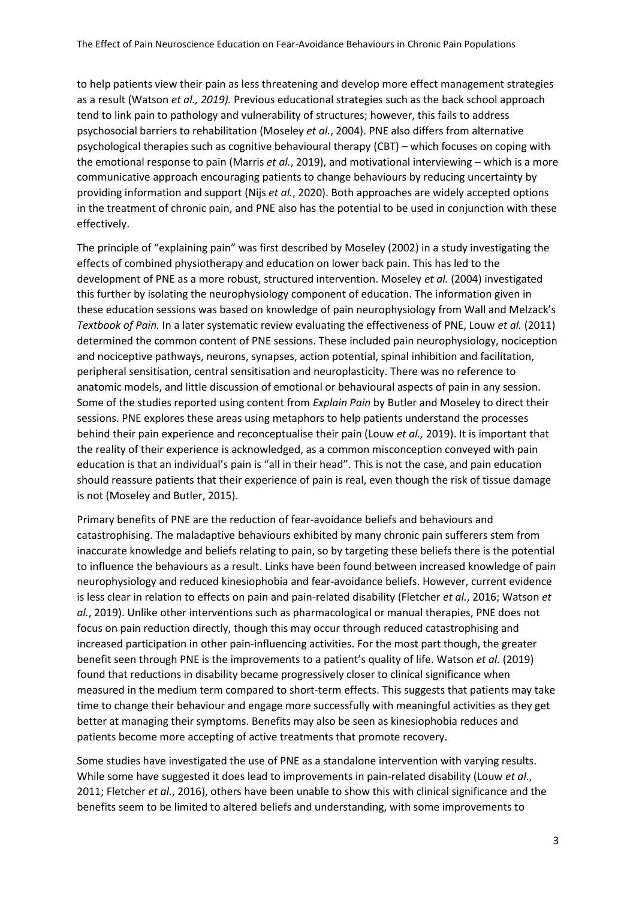to help patients view their pain as less threatening and develop more effect management strategies as a result (Watson *et al., 2019).* Previous educational strategies such as the back school approach tend to link pain to pathology and vulnerability of structures; however, this fails to address psychosocial barriers to rehabilitation (Moseley *et al.*, 2004). PNE also differs from alternative psychological therapies such as cognitive behavioural therapy (CBT) – which focuses on coping with the emotional response to pain (Marris *et al.*, 2019), and motivational interviewing – which is a more communicative approach encouraging patients to change behaviours by reducing uncertainty by providing information and support (Nijs *et al.*, 2020). Both approaches are widely accepted options in the treatment of chronic pain, and PNE also has the potential to be used in conjunction with these effectively.

The principle of "explaining pain" was first described by Moseley (2002) in a study investigating the effects of combined physiotherapy and education on lower back pain. This has led to the development of PNE as a more robust, structured intervention. Moseley *et al.* (2004) investigated this further by isolating the neurophysiology component of education. The information given in these education sessions was based on knowledge of pain neurophysiology from Wall and Melzack's *Textbook of Pain.* In a later systematic review evaluating the effectiveness of PNE, Louw *et al.* (2011) determined the common content of PNE sessions. These included pain neurophysiology, nociception and nociceptive pathways, neurons, synapses, action potential, spinal inhibition and facilitation, peripheral sensitisation, central sensitisation and neuroplasticity. There was no reference to anatomic models, and little discussion of emotional or behavioural aspects of pain in any session. Some of the studies reported using content from *Explain Pain* by Butler and Moseley to direct their sessions. PNE explores these areas using metaphors to help patients understand the processes behind their pain experience and reconceptualise their pain (Louw *et al.,* 2019). It is important that the reality of their experience is acknowledged, as a common misconception conveyed with pain education is that an individual's pain is "all in their head". This is not the case, and pain education should reassure patients that their experience of pain is real, even though the risk of tissue damage is not (Moseley and Butler, 2015).

Primary benefits of PNE are the reduction of fear-avoidance beliefs and behaviours and catastrophising. The maladaptive behaviours exhibited by many chronic pain sufferers stem from inaccurate knowledge and beliefs relating to pain, so by targeting these beliefs there is the potential to influence the behaviours as a result. Links have been found between increased knowledge of pain neurophysiology and reduced kinesiophobia and fear-avoidance beliefs. However, current evidence is less clear in relation to effects on pain and pain-related disability (Fletcher *et al.*, 2016; Watson *et al.*, 2019). Unlike other interventions such as pharmacological or manual therapies, PNE does not focus on pain reduction directly, though this may occur through reduced catastrophising and increased participation in other pain-influencing activities. For the most part though, the greater benefit seen through PNE is the improvements to a patient's quality of life. Watson *et al.* (2019) found that reductions in disability became progressively closer to clinical significance when measured in the medium term compared to short-term effects. This suggests that patients may take time to change their behaviour and engage more successfully with meaningful activities as they get better at managing their symptoms. Benefits may also be seen as kinesiophobia reduces and patients become more accepting of active treatments that promote recovery.

Some studies have investigated the use of PNE as a standalone intervention with varying results. While some have suggested it does lead to improvements in pain-related disability (Louw *et al.*, 2011; Fletcher *et al.*, 2016), others have been unable to show this with clinical significance and the benefits seem to be limited to altered beliefs and understanding, with some improvements to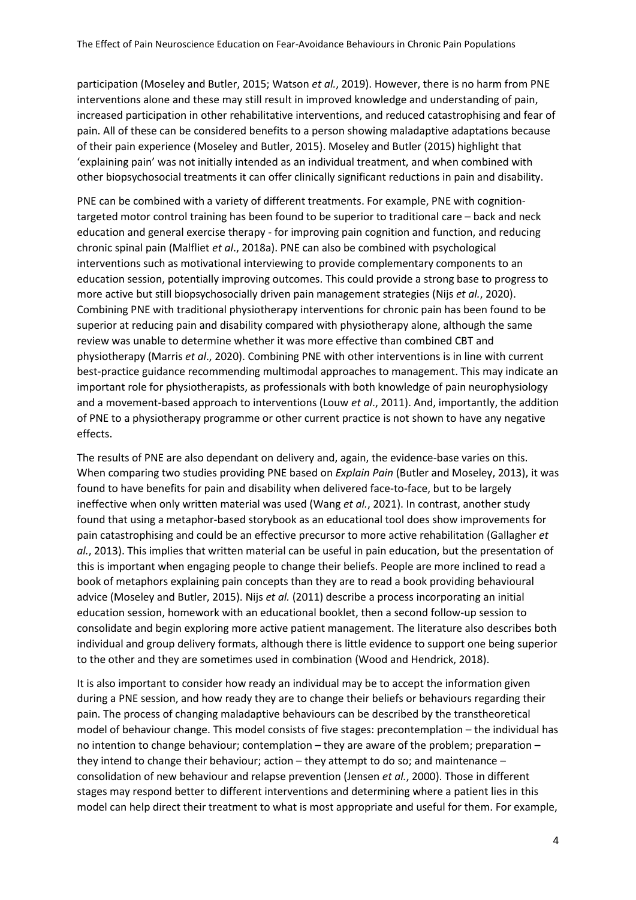participation (Moseley and Butler, 2015; Watson *et al.*, 2019). However, there is no harm from PNE interventions alone and these may still result in improved knowledge and understanding of pain, increased participation in other rehabilitative interventions, and reduced catastrophising and fear of pain. All of these can be considered benefits to a person showing maladaptive adaptations because of their pain experience (Moseley and Butler, 2015). Moseley and Butler (2015) highlight that 'explaining pain' was not initially intended as an individual treatment, and when combined with other biopsychosocial treatments it can offer clinically significant reductions in pain and disability.

PNE can be combined with a variety of different treatments. For example, PNE with cognitiontargeted motor control training has been found to be superior to traditional care – back and neck education and general exercise therapy - for improving pain cognition and function, and reducing chronic spinal pain (Malfliet *et al*., 2018a). PNE can also be combined with psychological interventions such as motivational interviewing to provide complementary components to an education session, potentially improving outcomes. This could provide a strong base to progress to more active but still biopsychosocially driven pain management strategies (Nijs *et al.*, 2020). Combining PNE with traditional physiotherapy interventions for chronic pain has been found to be superior at reducing pain and disability compared with physiotherapy alone, although the same review was unable to determine whether it was more effective than combined CBT and physiotherapy (Marris *et al*., 2020). Combining PNE with other interventions is in line with current best-practice guidance recommending multimodal approaches to management. This may indicate an important role for physiotherapists, as professionals with both knowledge of pain neurophysiology and a movement-based approach to interventions (Louw *et al*., 2011). And, importantly, the addition of PNE to a physiotherapy programme or other current practice is not shown to have any negative effects.

The results of PNE are also dependant on delivery and, again, the evidence-base varies on this. When comparing two studies providing PNE based on *Explain Pain* (Butler and Moseley, 2013), it was found to have benefits for pain and disability when delivered face-to-face, but to be largely ineffective when only written material was used (Wang *et al.*, 2021). In contrast, another study found that using a metaphor-based storybook as an educational tool does show improvements for pain catastrophising and could be an effective precursor to more active rehabilitation (Gallagher *et al.*, 2013). This implies that written material can be useful in pain education, but the presentation of this is important when engaging people to change their beliefs. People are more inclined to read a book of metaphors explaining pain concepts than they are to read a book providing behavioural advice (Moseley and Butler, 2015). Nijs *et al.* (2011) describe a process incorporating an initial education session, homework with an educational booklet, then a second follow-up session to consolidate and begin exploring more active patient management. The literature also describes both individual and group delivery formats, although there is little evidence to support one being superior to the other and they are sometimes used in combination (Wood and Hendrick, 2018).

It is also important to consider how ready an individual may be to accept the information given during a PNE session, and how ready they are to change their beliefs or behaviours regarding their pain. The process of changing maladaptive behaviours can be described by the transtheoretical model of behaviour change. This model consists of five stages: precontemplation – the individual has no intention to change behaviour; contemplation – they are aware of the problem; preparation – they intend to change their behaviour; action – they attempt to do so; and maintenance – consolidation of new behaviour and relapse prevention (Jensen *et al.*, 2000). Those in different stages may respond better to different interventions and determining where a patient lies in this model can help direct their treatment to what is most appropriate and useful for them. For example,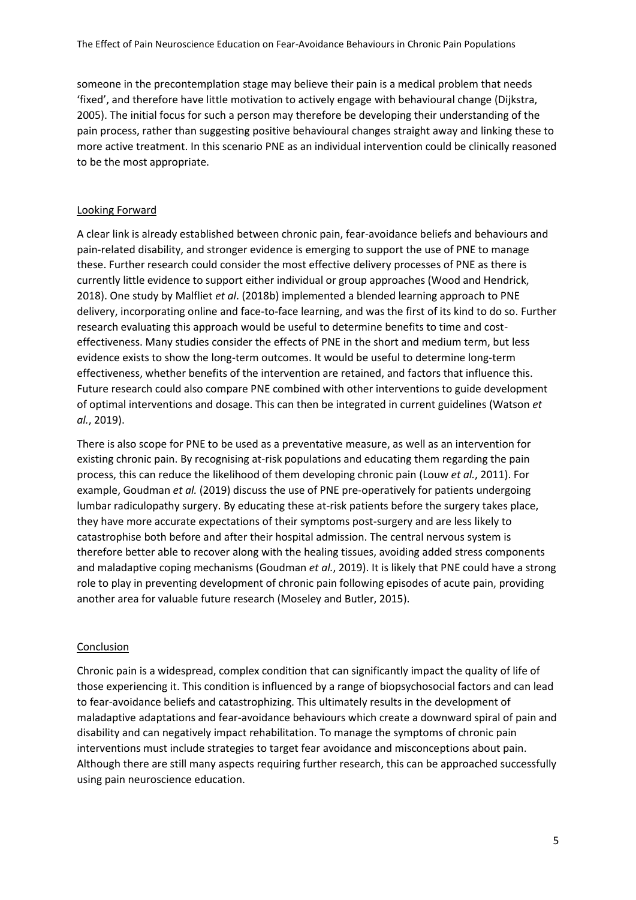someone in the precontemplation stage may believe their pain is a medical problem that needs 'fixed', and therefore have little motivation to actively engage with behavioural change (Dijkstra, 2005). The initial focus for such a person may therefore be developing their understanding of the pain process, rather than suggesting positive behavioural changes straight away and linking these to more active treatment. In this scenario PNE as an individual intervention could be clinically reasoned to be the most appropriate.

#### Looking Forward

A clear link is already established between chronic pain, fear-avoidance beliefs and behaviours and pain-related disability, and stronger evidence is emerging to support the use of PNE to manage these. Further research could consider the most effective delivery processes of PNE as there is currently little evidence to support either individual or group approaches (Wood and Hendrick, 2018). One study by Malfliet *et al*. (2018b) implemented a blended learning approach to PNE delivery, incorporating online and face-to-face learning, and was the first of its kind to do so. Further research evaluating this approach would be useful to determine benefits to time and costeffectiveness. Many studies consider the effects of PNE in the short and medium term, but less evidence exists to show the long-term outcomes. It would be useful to determine long-term effectiveness, whether benefits of the intervention are retained, and factors that influence this. Future research could also compare PNE combined with other interventions to guide development of optimal interventions and dosage. This can then be integrated in current guidelines (Watson *et al.*, 2019).

There is also scope for PNE to be used as a preventative measure, as well as an intervention for existing chronic pain. By recognising at-risk populations and educating them regarding the pain process, this can reduce the likelihood of them developing chronic pain (Louw *et al.*, 2011). For example, Goudman *et al.* (2019) discuss the use of PNE pre-operatively for patients undergoing lumbar radiculopathy surgery. By educating these at-risk patients before the surgery takes place, they have more accurate expectations of their symptoms post-surgery and are less likely to catastrophise both before and after their hospital admission. The central nervous system is therefore better able to recover along with the healing tissues, avoiding added stress components and maladaptive coping mechanisms (Goudman *et al.*, 2019). It is likely that PNE could have a strong role to play in preventing development of chronic pain following episodes of acute pain, providing another area for valuable future research (Moseley and Butler, 2015).

## Conclusion

Chronic pain is a widespread, complex condition that can significantly impact the quality of life of those experiencing it. This condition is influenced by a range of biopsychosocial factors and can lead to fear-avoidance beliefs and catastrophizing. This ultimately results in the development of maladaptive adaptations and fear-avoidance behaviours which create a downward spiral of pain and disability and can negatively impact rehabilitation. To manage the symptoms of chronic pain interventions must include strategies to target fear avoidance and misconceptions about pain. Although there are still many aspects requiring further research, this can be approached successfully using pain neuroscience education.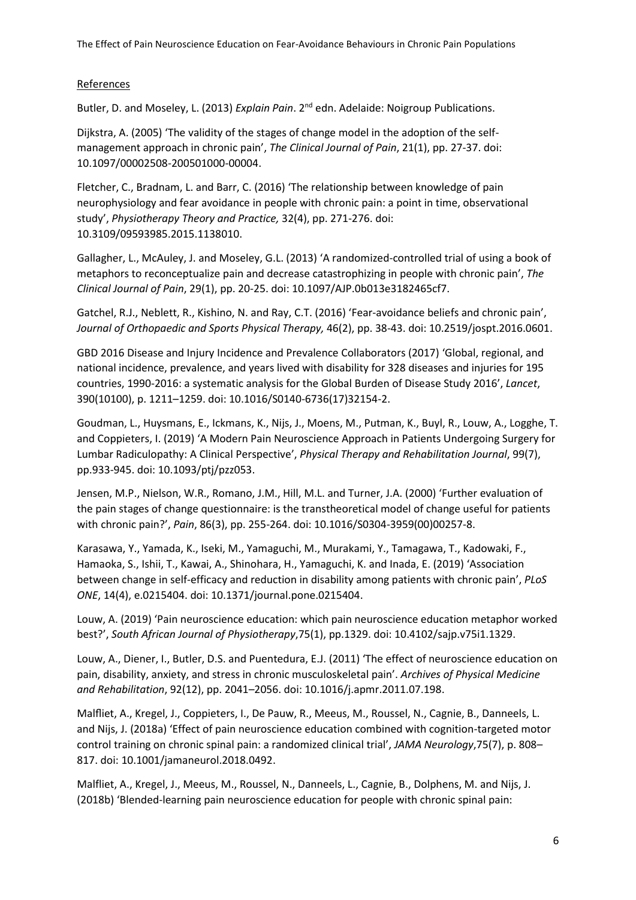## References

Butler, D. and Moseley, L. (2013) *Explain Pain*. 2<sup>nd</sup> edn. Adelaide: Noigroup Publications.

Dijkstra, A. (2005) 'The validity of the stages of change model in the adoption of the selfmanagement approach in chronic pain', *The Clinical Journal of Pain*, 21(1), pp. 27-37. doi: 10.1097/00002508-200501000-00004.

Fletcher, C., Bradnam, L. and Barr, C. (2016) 'The relationship between knowledge of pain neurophysiology and fear avoidance in people with chronic pain: a point in time, observational study', *Physiotherapy Theory and Practice,* 32(4), pp. 271-276. doi: 10.3109/09593985.2015.1138010.

Gallagher, L., McAuley, J. and Moseley, G.L. (2013) 'A randomized-controlled trial of using a book of metaphors to reconceptualize pain and decrease catastrophizing in people with chronic pain', *The Clinical Journal of Pain*, 29(1), pp. 20-25. doi: 10.1097/AJP.0b013e3182465cf7.

Gatchel, R.J., Neblett, R., Kishino, N. and Ray, C.T. (2016) 'Fear-avoidance beliefs and chronic pain', *Journal of Orthopaedic and Sports Physical Therapy,* 46(2), pp. 38-43. doi: 10.2519/jospt.2016.0601.

GBD 2016 Disease and Injury Incidence and Prevalence Collaborators (2017) 'Global, regional, and national incidence, prevalence, and years lived with disability for 328 diseases and injuries for 195 countries, 1990-2016: a systematic analysis for the Global Burden of Disease Study 2016', *Lancet*, 390(10100), p. 1211–1259. doi: 10.1016/S0140-6736(17)32154-2.

Goudman, L., Huysmans, E., Ickmans, K., Nijs, J., Moens, M., Putman, K., Buyl, R., Louw, A., Logghe, T. and Coppieters, I. (2019) 'A Modern Pain Neuroscience Approach in Patients Undergoing Surgery for Lumbar Radiculopathy: A Clinical Perspective', *Physical Therapy and Rehabilitation Journal*, 99(7), pp.933-945. doi: 10.1093/ptj/pzz053.

Jensen, M.P., Nielson, W.R., Romano, J.M., Hill, M.L. and Turner, J.A. (2000) 'Further evaluation of the pain stages of change questionnaire: is the transtheoretical model of change useful for patients with chronic pain?', *Pain*, 86(3), pp. 255-264. doi: 10.1016/S0304-3959(00)00257-8.

Karasawa, Y., Yamada, K., Iseki, M., Yamaguchi, M., Murakami, Y., Tamagawa, T., Kadowaki, F., Hamaoka, S., Ishii, T., Kawai, A., Shinohara, H., Yamaguchi, K. and Inada, E. (2019) 'Association between change in self-efficacy and reduction in disability among patients with chronic pain', *PLoS ONE*, 14(4), e.0215404. doi: 10.1371/journal.pone.0215404.

Louw, A. (2019) 'Pain neuroscience education: which pain neuroscience education metaphor worked best?', *South African Journal of Physiotherapy*,75(1), pp.1329. doi: 10.4102/sajp.v75i1.1329.

Louw, A., Diener, I., Butler, D.S. and Puentedura, E.J. (2011) 'The effect of neuroscience education on pain, disability, anxiety, and stress in chronic musculoskeletal pain'. *Archives of Physical Medicine and Rehabilitation*, 92(12), pp. 2041–2056. doi: 10.1016/j.apmr.2011.07.198.

Malfliet, A., Kregel, J., Coppieters, I., De Pauw, R., Meeus, M., Roussel, N., Cagnie, B., Danneels, L. and Nijs, J. (2018a) 'Effect of pain neuroscience education combined with cognition-targeted motor control training on chronic spinal pain: a randomized clinical trial', *JAMA Neurology*,75(7), p. 808– 817. doi: 10.1001/jamaneurol.2018.0492.

Malfliet, A., Kregel, J., Meeus, M., Roussel, N., Danneels, L., Cagnie, B., Dolphens, M. and Nijs, J. (2018b) 'Blended-learning pain neuroscience education for people with chronic spinal pain: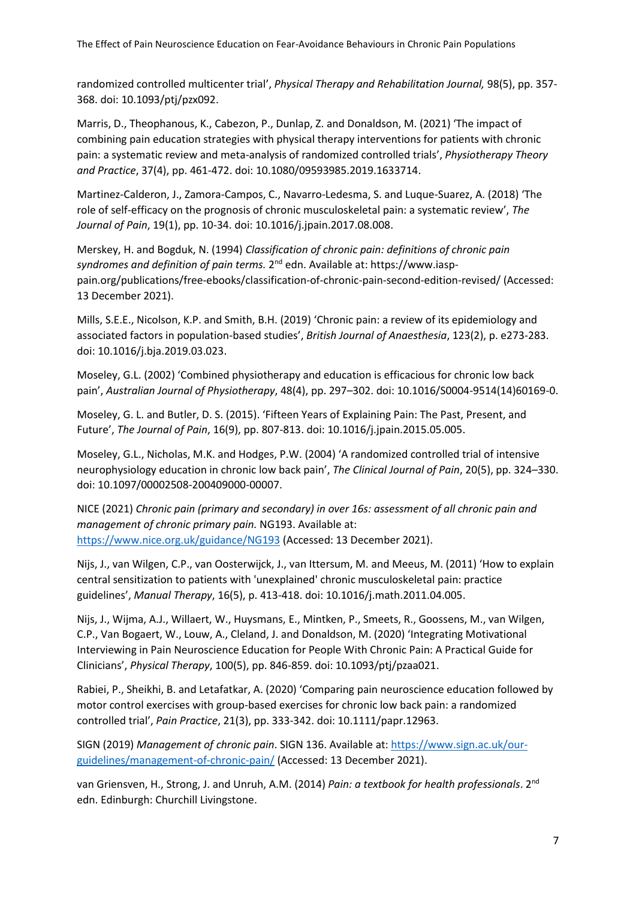randomized controlled multicenter trial', *Physical Therapy and Rehabilitation Journal,* 98(5), pp. 357- 368. doi: 10.1093/ptj/pzx092.

Marris, D., Theophanous, K., Cabezon, P., Dunlap, Z. and Donaldson, M. (2021) 'The impact of combining pain education strategies with physical therapy interventions for patients with chronic pain: a systematic review and meta-analysis of randomized controlled trials', *Physiotherapy Theory and Practice*, 37(4), pp. 461-472. doi: 10.1080/09593985.2019.1633714.

Martinez-Calderon, J., Zamora-Campos, C., Navarro-Ledesma, S. and Luque-Suarez, A. (2018) 'The role of self-efficacy on the prognosis of chronic musculoskeletal pain: a systematic review', *The Journal of Pain*, 19(1), pp. 10-34. doi: 10.1016/j.jpain.2017.08.008.

Merskey, H. and Bogduk, N. (1994) *Classification of chronic pain: definitions of chronic pain*  syndromes and definition of pain terms. 2<sup>nd</sup> edn. Available at: https://www.iasppain.org/publications/free-ebooks/classification-of-chronic-pain-second-edition-revised/ (Accessed: 13 December 2021).

Mills, S.E.E., Nicolson, K.P. and Smith, B.H. (2019) 'Chronic pain: a review of its epidemiology and associated factors in population-based studies', *British Journal of Anaesthesia*, 123(2), p. e273-283. doi: 10.1016/j.bja.2019.03.023.

Moseley, G.L. (2002) 'Combined physiotherapy and education is efficacious for chronic low back pain', *Australian Journal of Physiotherapy*, 48(4), pp. 297–302. doi: 10.1016/S0004-9514(14)60169-0.

Moseley, G. L. and Butler, D. S. (2015). 'Fifteen Years of Explaining Pain: The Past, Present, and Future', *The Journal of Pain*, 16(9), pp. 807-813. doi: 10.1016/j.jpain.2015.05.005.

Moseley, G.L., Nicholas, M.K. and Hodges, P.W. (2004) 'A randomized controlled trial of intensive neurophysiology education in chronic low back pain', *The Clinical Journal of Pain*, 20(5), pp. 324–330. doi: 10.1097/00002508-200409000-00007.

NICE (2021) *Chronic pain (primary and secondary) in over 16s: assessment of all chronic pain and management of chronic primary pain.* NG193. Available at: <https://www.nice.org.uk/guidance/NG193> (Accessed: 13 December 2021).

Nijs, J., van Wilgen, C.P., van Oosterwijck, J., van Ittersum, M. and Meeus, M. (2011) 'How to explain central sensitization to patients with 'unexplained' chronic musculoskeletal pain: practice guidelines', *Manual Therapy*, 16(5), p. 413-418. doi: 10.1016/j.math.2011.04.005.

Nijs, J., Wijma, A.J., Willaert, W., Huysmans, E., Mintken, P., Smeets, R., Goossens, M., van Wilgen, C.P., Van Bogaert, W., Louw, A., Cleland, J. and Donaldson, M. (2020) 'Integrating Motivational Interviewing in Pain Neuroscience Education for People With Chronic Pain: A Practical Guide for Clinicians', *Physical Therapy*, 100(5), pp. 846-859. doi: 10.1093/ptj/pzaa021.

Rabiei, P., Sheikhi, B. and Letafatkar, A. (2020) 'Comparing pain neuroscience education followed by motor control exercises with group-based exercises for chronic low back pain: a randomized controlled trial', *Pain Practice*, 21(3), pp. 333-342. doi: 10.1111/papr.12963.

SIGN (2019) *Management of chronic pain*. SIGN 136. Available at: [https://www.sign.ac.uk/our](https://www.sign.ac.uk/our-guidelines/management-of-chronic-pain/)[guidelines/management-of-chronic-pain/](https://www.sign.ac.uk/our-guidelines/management-of-chronic-pain/) (Accessed: 13 December 2021).

van Griensven, H., Strong, J. and Unruh, A.M. (2014) *Pain: a textbook for health professionals*. 2<sup>nd</sup> edn. Edinburgh: Churchill Livingstone.